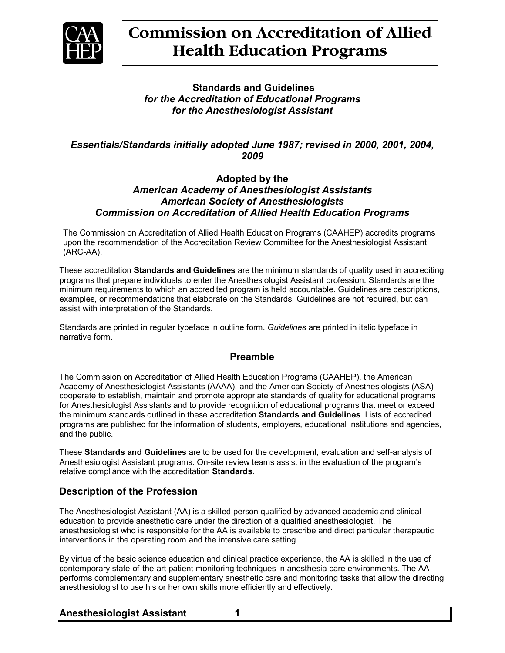

# **Commission on Accreditation of Allied Health Education Programs**

# **Standards and Guidelines**  *for the Accreditation of Educational Programs for the Anesthesiologist Assistant*

# *Essentials/Standards initially adopted June 1987; revised in 2000, 2001, 2004, 2009*

### **Adopted by the**  *American Academy of Anesthesiologist Assistants American Society of Anesthesiologists Commission on Accreditation of Allied Health Education Programs*

The Commission on Accreditation of Allied Health Education Programs (CAAHEP) accredits programs upon the recommendation of the Accreditation Review Committee for the Anesthesiologist Assistant (ARC-AA).

These accreditation **Standards and Guidelines** are the minimum standards of quality used in accrediting programs that prepare individuals to enter the Anesthesiologist Assistant profession. Standards are the minimum requirements to which an accredited program is held accountable. Guidelines are descriptions, examples, or recommendations that elaborate on the Standards. Guidelines are not required, but can assist with interpretation of the Standards.

Standards are printed in regular typeface in outline form. *Guidelines* are printed in italic typeface in narrative form.

## **Preamble**

The Commission on Accreditation of Allied Health Education Programs (CAAHEP), the American Academy of Anesthesiologist Assistants (AAAA), and the American Society of Anesthesiologists (ASA) cooperate to establish, maintain and promote appropriate standards of quality for educational programs for Anesthesiologist Assistants and to provide recognition of educational programs that meet or exceed the minimum standards outlined in these accreditation **Standards and Guidelines**. Lists of accredited programs are published for the information of students, employers, educational institutions and agencies, and the public.

These **Standards and Guidelines** are to be used for the development, evaluation and self-analysis of Anesthesiologist Assistant programs. On-site review teams assist in the evaluation of the program's relative compliance with the accreditation **Standards**.

# **Description of the Profession**

The Anesthesiologist Assistant (AA) is a skilled person qualified by advanced academic and clinical education to provide anesthetic care under the direction of a qualified anesthesiologist. The anesthesiologist who is responsible for the AA is available to prescribe and direct particular therapeutic interventions in the operating room and the intensive care setting.

By virtue of the basic science education and clinical practice experience, the AA is skilled in the use of contemporary state-of-the-art patient monitoring techniques in anesthesia care environments. The AA performs complementary and supplementary anesthetic care and monitoring tasks that allow the directing anesthesiologist to use his or her own skills more efficiently and effectively.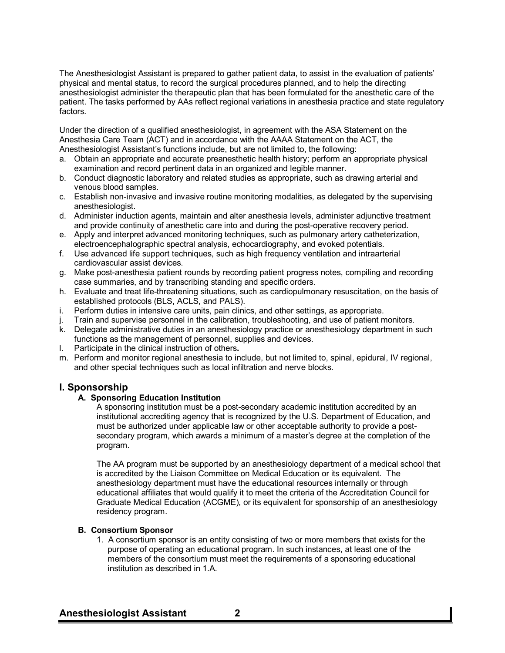The Anesthesiologist Assistant is prepared to gather patient data, to assist in the evaluation of patients' physical and mental status, to record the surgical procedures planned, and to help the directing anesthesiologist administer the therapeutic plan that has been formulated for the anesthetic care of the patient. The tasks performed by AAs reflect regional variations in anesthesia practice and state regulatory factors.

Under the direction of a qualified anesthesiologist, in agreement with the ASA Statement on the Anesthesia Care Team (ACT) and in accordance with the AAAA Statement on the ACT, the Anesthesiologist Assistant's functions include, but are not limited to, the following:

- a. Obtain an appropriate and accurate preanesthetic health history; perform an appropriate physical examination and record pertinent data in an organized and legible manner.
- b. Conduct diagnostic laboratory and related studies as appropriate, such as drawing arterial and venous blood samples.
- c. Establish non-invasive and invasive routine monitoring modalities, as delegated by the supervising anesthesiologist.
- d. Administer induction agents, maintain and alter anesthesia levels, administer adjunctive treatment and provide continuity of anesthetic care into and during the post-operative recovery period.
- e. Apply and interpret advanced monitoring techniques, such as pulmonary artery catheterization, electroencephalographic spectral analysis, echocardiography, and evoked potentials.
- f. Use advanced life support techniques, such as high frequency ventilation and intraarterial cardiovascular assist devices.
- g. Make post-anesthesia patient rounds by recording patient progress notes, compiling and recording case summaries, and by transcribing standing and specific orders.
- h. Evaluate and treat life-threatening situations, such as cardiopulmonary resuscitation, on the basis of established protocols (BLS, ACLS, and PALS).
- i. Perform duties in intensive care units, pain clinics, and other settings, as appropriate.
- j. Train and supervise personnel in the calibration, troubleshooting, and use of patient monitors.
- k. Delegate administrative duties in an anesthesiology practice or anesthesiology department in such functions as the management of personnel, supplies and devices.
- l. Participate in the clinical instruction of others**.**
- m. Perform and monitor regional anesthesia to include, but not limited to, spinal, epidural, IV regional, and other special techniques such as local infiltration and nerve blocks.

### **I. Sponsorship**

### **A. Sponsoring Education Institution**

A sponsoring institution must be a post-secondary academic institution accredited by an institutional accrediting agency that is recognized by the U.S. Department of Education, and must be authorized under applicable law or other acceptable authority to provide a postsecondary program, which awards a minimum of a master's degree at the completion of the program.

The AA program must be supported by an anesthesiology department of a medical school that is accredited by the Liaison Committee on Medical Education or its equivalent. The anesthesiology department must have the educational resources internally or through educational affiliates that would qualify it to meet the criteria of the Accreditation Council for Graduate Medical Education (ACGME), or its equivalent for sponsorship of an anesthesiology residency program.

### **B. Consortium Sponsor**

1. A consortium sponsor is an entity consisting of two or more members that exists for the purpose of operating an educational program. In such instances, at least one of the members of the consortium must meet the requirements of a sponsoring educational institution as described in 1.A.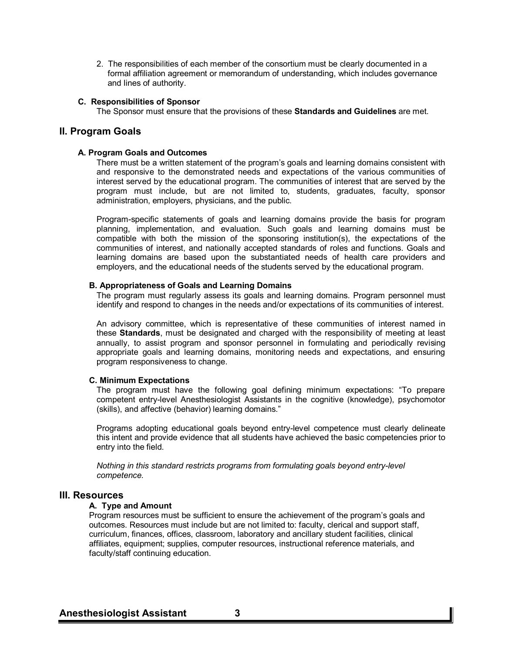2. The responsibilities of each member of the consortium must be clearly documented in a formal affiliation agreement or memorandum of understanding, which includes governance and lines of authority.

### **C. Responsibilities of Sponsor**

The Sponsor must ensure that the provisions of these **Standards and Guidelines** are met.

### **II. Program Goals**

#### **A. Program Goals and Outcomes**

There must be a written statement of the program's goals and learning domains consistent with and responsive to the demonstrated needs and expectations of the various communities of interest served by the educational program. The communities of interest that are served by the program must include, but are not limited to, students, graduates, faculty, sponsor administration, employers, physicians, and the public.

Program-specific statements of goals and learning domains provide the basis for program planning, implementation, and evaluation. Such goals and learning domains must be compatible with both the mission of the sponsoring institution(s), the expectations of the communities of interest, and nationally accepted standards of roles and functions. Goals and learning domains are based upon the substantiated needs of health care providers and employers, and the educational needs of the students served by the educational program.

#### **B. Appropriateness of Goals and Learning Domains**

The program must regularly assess its goals and learning domains. Program personnel must identify and respond to changes in the needs and/or expectations of its communities of interest.

An advisory committee, which is representative of these communities of interest named in these **Standards**, must be designated and charged with the responsibility of meeting at least annually, to assist program and sponsor personnel in formulating and periodically revising appropriate goals and learning domains, monitoring needs and expectations, and ensuring program responsiveness to change.

#### **C. Minimum Expectations**

The program must have the following goal defining minimum expectations: "To prepare competent entry-level Anesthesiologist Assistants in the cognitive (knowledge), psychomotor (skills), and affective (behavior) learning domains."

Programs adopting educational goals beyond entry-level competence must clearly delineate this intent and provide evidence that all students have achieved the basic competencies prior to entry into the field.

*Nothing in this standard restricts programs from formulating goals beyond entry-level competence.*

### **III. Resources**

#### **A. Type and Amount**

Program resources must be sufficient to ensure the achievement of the program's goals and outcomes. Resources must include but are not limited to: faculty, clerical and support staff, curriculum, finances, offices, classroom, laboratory and ancillary student facilities, clinical affiliates, equipment; supplies, computer resources, instructional reference materials, and faculty/staff continuing education.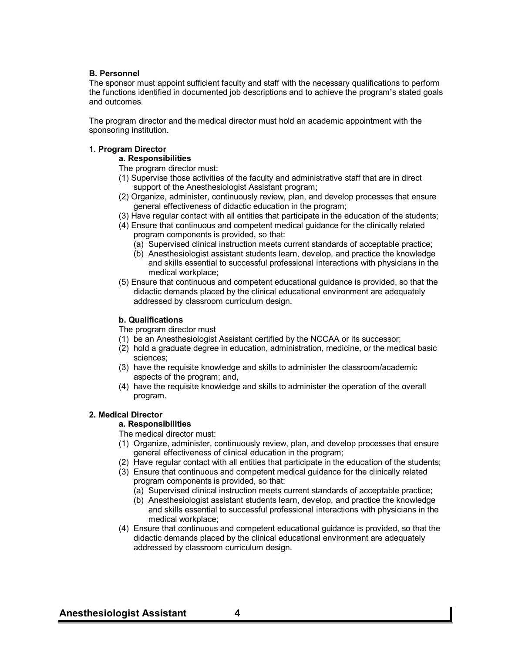### **B. Personnel**

The sponsor must appoint sufficient faculty and staff with the necessary qualifications to perform the functions identified in documented job descriptions and to achieve the program**'**s stated goals and outcomes.

The program director and the medical director must hold an academic appointment with the sponsoring institution.

### **1. Program Director**

### **a. Responsibilities**

The program director must:

- (1) Supervise those activities of the faculty and administrative staff that are in direct support of the Anesthesiologist Assistant program;
- (2) Organize, administer, continuously review, plan, and develop processes that ensure general effectiveness of didactic education in the program;
- (3) Have regular contact with all entities that participate in the education of the students;
- (4) Ensure that continuous and competent medical guidance for the clinically related program components is provided, so that:
	- (a) Supervised clinical instruction meets current standards of acceptable practice;
	- (b) Anesthesiologist assistant students learn, develop, and practice the knowledge and skills essential to successful professional interactions with physicians in the medical workplace;
- (5) Ensure that continuous and competent educational guidance is provided, so that the didactic demands placed by the clinical educational environment are adequately addressed by classroom curriculum design.

### **b. Qualifications**

The program director must

- (1) be an Anesthesiologist Assistant certified by the NCCAA or its successor;
- (2) hold a graduate degree in education, administration, medicine, or the medical basic sciences;
- (3) have the requisite knowledge and skills to administer the classroom/academic aspects of the program; and,
- (4) have the requisite knowledge and skills to administer the operation of the overall program.

### **2. Medical Director**

### **a. Responsibilities**

The medical director must:

- (1) Organize, administer, continuously review, plan, and develop processes that ensure general effectiveness of clinical education in the program;
- (2) Have regular contact with all entities that participate in the education of the students;
- (3) Ensure that continuous and competent medical guidance for the clinically related program components is provided, so that:
	- (a) Supervised clinical instruction meets current standards of acceptable practice;
	- (b) Anesthesiologist assistant students learn, develop, and practice the knowledge and skills essential to successful professional interactions with physicians in the medical workplace;
- (4) Ensure that continuous and competent educational guidance is provided, so that the didactic demands placed by the clinical educational environment are adequately addressed by classroom curriculum design.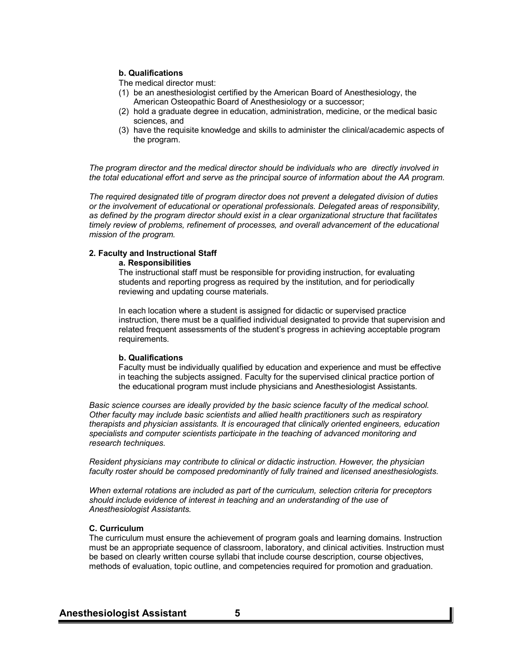### **b. Qualifications**

The medical director must:

- (1) be an anesthesiologist certified by the American Board of Anesthesiology, the American Osteopathic Board of Anesthesiology or a successor;
- (2) hold a graduate degree in education, administration, medicine, or the medical basic sciences, and
- (3) have the requisite knowledge and skills to administer the clinical/academic aspects of the program.

*The program director and the medical director should be individuals who are directly involved in the total educational effort and serve as the principal source of information about the AA program.*

*The required designated title of program director does not prevent a delegated division of duties or the involvement of educational or operational professionals. Delegated areas of responsibility, as defined by the program director should exist in a clear organizational structure that facilitates timely review of problems, refinement of processes, and overall advancement of the educational mission of the program.* 

### **2. Faculty and Instructional Staff**

### **a. Responsibilities**

The instructional staff must be responsible for providing instruction, for evaluating students and reporting progress as required by the institution, and for periodically reviewing and updating course materials.

In each location where a student is assigned for didactic or supervised practice instruction, there must be a qualified individual designated to provide that supervision and related frequent assessments of the student's progress in achieving acceptable program requirements.

### **b. Qualifications**

Faculty must be individually qualified by education and experience and must be effective in teaching the subjects assigned. Faculty for the supervised clinical practice portion of the educational program must include physicians and Anesthesiologist Assistants.

*Basic science courses are ideally provided by the basic science faculty of the medical school. Other faculty may include basic scientists and allied health practitioners such as respiratory therapists and physician assistants. It is encouraged that clinically oriented engineers, education specialists and computer scientists participate in the teaching of advanced monitoring and research techniques.* 

*Resident physicians may contribute to clinical or didactic instruction. However, the physician faculty roster should be composed predominantly of fully trained and licensed anesthesiologists.* 

*When external rotations are included as part of the curriculum, selection criteria for preceptors should include evidence of interest in teaching and an understanding of the use of Anesthesiologist Assistants.* 

### **C. Curriculum**

The curriculum must ensure the achievement of program goals and learning domains. Instruction must be an appropriate sequence of classroom, laboratory, and clinical activities. Instruction must be based on clearly written course syllabi that include course description, course objectives, methods of evaluation, topic outline, and competencies required for promotion and graduation.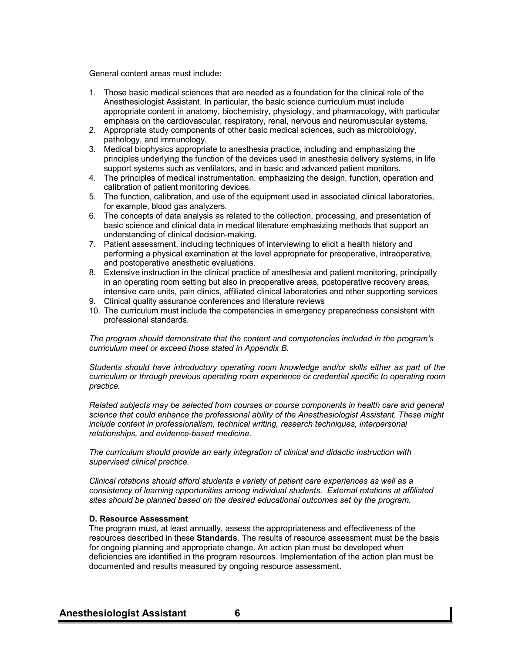General content areas must include:

- 1. Those basic medical sciences that are needed as a foundation for the clinical role of the Anesthesiologist Assistant. In particular, the basic science curriculum must include appropriate content in anatomy, biochemistry, physiology, and pharmacology, with particular emphasis on the cardiovascular, respiratory, renal, nervous and neuromuscular systems.
- 2. Appropriate study components of other basic medical sciences, such as microbiology, pathology, and immunology.
- 3. Medical biophysics appropriate to anesthesia practice, including and emphasizing the principles underlying the function of the devices used in anesthesia delivery systems, in life support systems such as ventilators, and in basic and advanced patient monitors.
- 4. The principles of medical instrumentation, emphasizing the design, function, operation and calibration of patient monitoring devices.
- 5. The function, calibration, and use of the equipment used in associated clinical laboratories, for example, blood gas analyzers.
- 6. The concepts of data analysis as related to the collection, processing, and presentation of basic science and clinical data in medical literature emphasizing methods that support an understanding of clinical decision-making.
- 7. Patient assessment, including techniques of interviewing to elicit a health history and performing a physical examination at the level appropriate for preoperative, intraoperative, and postoperative anesthetic evaluations.
- 8. Extensive instruction in the clinical practice of anesthesia and patient monitoring, principally in an operating room setting but also in preoperative areas, postoperative recovery areas, intensive care units, pain clinics, affiliated clinical laboratories and other supporting services
- 9. Clinical quality assurance conferences and literature reviews
- 10. The curriculum must include the competencies in emergency preparedness consistent with professional standards.

*The program should demonstrate that the content and competencies included in the program's curriculum meet or exceed those stated in Appendix B.* 

*Students should have introductory operating room knowledge and/or skills either as part of the curriculum or through previous operating room experience or credential specific to operating room practice.* 

*Related subjects may be selected from courses or course components in health care and general science that could enhance the professional ability of the Anesthesiologist Assistant. These might include content in professionalism, technical writing, research techniques, interpersonal relationships, and evidence-based medicine.* 

*The curriculum should provide an early integration of clinical and didactic instruction with supervised clinical practice.* 

*Clinical rotations should afford students a variety of patient care experiences as well as a consistency of learning opportunities among individual students. External rotations at affiliated sites should be planned based on the desired educational outcomes set by the program.* 

### **D. Resource Assessment**

The program must, at least annually, assess the appropriateness and effectiveness of the resources described in these **Standards**. The results of resource assessment must be the basis for ongoing planning and appropriate change. An action plan must be developed when deficiencies are identified in the program resources. Implementation of the action plan must be documented and results measured by ongoing resource assessment.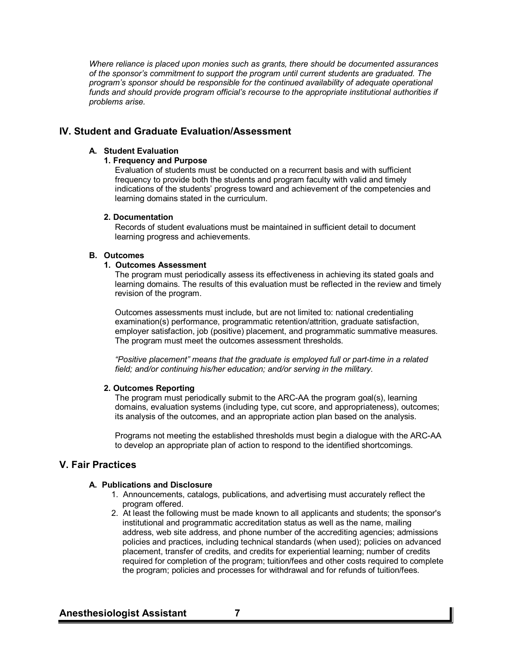*Where reliance is placed upon monies such as grants, there should be documented assurances of the sponsor's commitment to support the program until current students are graduated. The program's sponsor should be responsible for the continued availability of adequate operational funds and should provide program official's recourse to the appropriate institutional authorities if problems arise.* 

### **IV. Student and Graduate Evaluation/Assessment**

### **A. Student Evaluation**

### **1. Frequency and Purpose**

Evaluation of students must be conducted on a recurrent basis and with sufficient frequency to provide both the students and program faculty with valid and timely indications of the students' progress toward and achievement of the competencies and learning domains stated in the curriculum.

### **2. Documentation**

Records of student evaluations must be maintained in sufficient detail to document learning progress and achievements.

### **B. Outcomes**

### **1. Outcomes Assessment**

The program must periodically assess its effectiveness in achieving its stated goals and learning domains. The results of this evaluation must be reflected in the review and timely revision of the program.

Outcomes assessments must include, but are not limited to: national credentialing examination(s) performance, programmatic retention/attrition, graduate satisfaction, employer satisfaction, job (positive) placement, and programmatic summative measures. The program must meet the outcomes assessment thresholds.

*"Positive placement" means that the graduate is employed full or part-time in a related field; and/or continuing his/her education; and/or serving in the military.* 

### **2. Outcomes Reporting**

The program must periodically submit to the ARC-AA the program goal(s), learning domains, evaluation systems (including type, cut score, and appropriateness), outcomes; its analysis of the outcomes, and an appropriate action plan based on the analysis.

Programs not meeting the established thresholds must begin a dialogue with the ARC-AA to develop an appropriate plan of action to respond to the identified shortcomings.

### **V. Fair Practices**

### **A. Publications and Disclosure**

- 1. Announcements, catalogs, publications, and advertising must accurately reflect the program offered.
- 2. At least the following must be made known to all applicants and students; the sponsor's institutional and programmatic accreditation status as well as the name, mailing address, web site address, and phone number of the accrediting agencies; admissions policies and practices, including technical standards (when used); policies on advanced placement, transfer of credits, and credits for experiential learning; number of credits required for completion of the program; tuition/fees and other costs required to complete the program; policies and processes for withdrawal and for refunds of tuition/fees.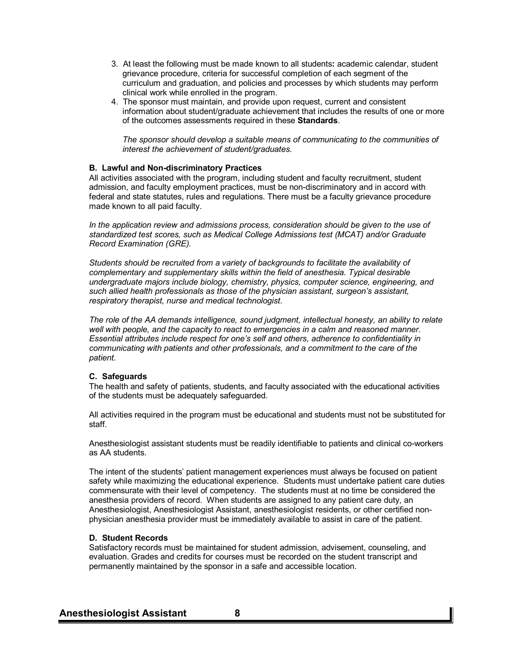- 3. At least the following must be made known to all students**:** academic calendar, student grievance procedure, criteria for successful completion of each segment of the curriculum and graduation, and policies and processes by which students may perform clinical work while enrolled in the program.
- 4. The sponsor must maintain, and provide upon request, current and consistent information about student/graduate achievement that includes the results of one or more of the outcomes assessments required in these **Standards**.

*The sponsor should develop a suitable means of communicating to the communities of interest the achievement of student/graduates.* 

### **B. Lawful and Non-discriminatory Practices**

All activities associated with the program, including student and faculty recruitment, student admission, and faculty employment practices, must be non-discriminatory and in accord with federal and state statutes, rules and regulations. There must be a faculty grievance procedure made known to all paid faculty.

*In the application review and admissions process, consideration should be given to the use of standardized test scores, such as Medical College Admissions test (MCAT) and/or Graduate Record Examination (GRE).* 

*Students should be recruited from a variety of backgrounds to facilitate the availability of complementary and supplementary skills within the field of anesthesia. Typical desirable undergraduate majors include biology, chemistry, physics, computer science, engineering, and such allied health professionals as those of the physician assistant, surgeon's assistant, respiratory therapist, nurse and medical technologist.* 

*The role of the AA demands intelligence, sound judgment, intellectual honesty, an ability to relate well with people, and the capacity to react to emergencies in a calm and reasoned manner. Essential attributes include respect for one's self and others, adherence to confidentiality in communicating with patients and other professionals, and a commitment to the care of the patient.* 

### **C. Safeguards**

The health and safety of patients, students, and faculty associated with the educational activities of the students must be adequately safeguarded.

All activities required in the program must be educational and students must not be substituted for staff.

Anesthesiologist assistant students must be readily identifiable to patients and clinical co-workers as AA students.

The intent of the students' patient management experiences must always be focused on patient safety while maximizing the educational experience. Students must undertake patient care duties commensurate with their level of competency. The students must at no time be considered the anesthesia providers of record. When students are assigned to any patient care duty, an Anesthesiologist, Anesthesiologist Assistant, anesthesiologist residents, or other certified nonphysician anesthesia provider must be immediately available to assist in care of the patient.

### **D. Student Records**

Satisfactory records must be maintained for student admission, advisement, counseling, and evaluation. Grades and credits for courses must be recorded on the student transcript and permanently maintained by the sponsor in a safe and accessible location.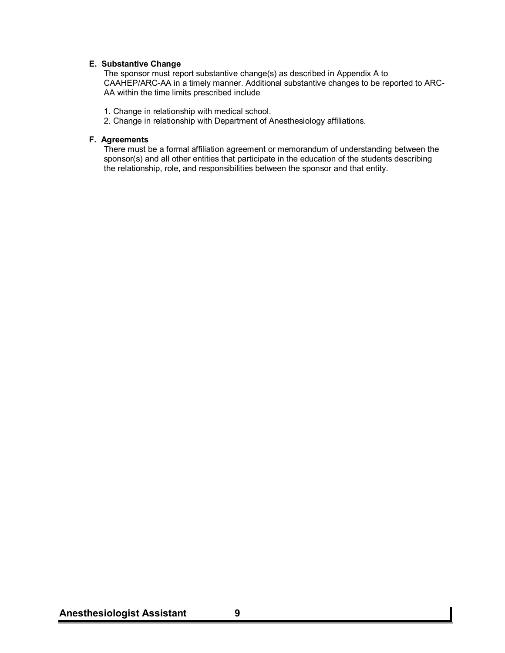### **E. Substantive Change**

The sponsor must report substantive change(s) as described in Appendix A to CAAHEP/ARC-AA in a timely manner. Additional substantive changes to be reported to ARC-AA within the time limits prescribed include

- 1. Change in relationship with medical school.
- 2. Change in relationship with Department of Anesthesiology affiliations.

### **F. Agreements**

There must be a formal affiliation agreement or memorandum of understanding between the sponsor(s) and all other entities that participate in the education of the students describing the relationship, role, and responsibilities between the sponsor and that entity.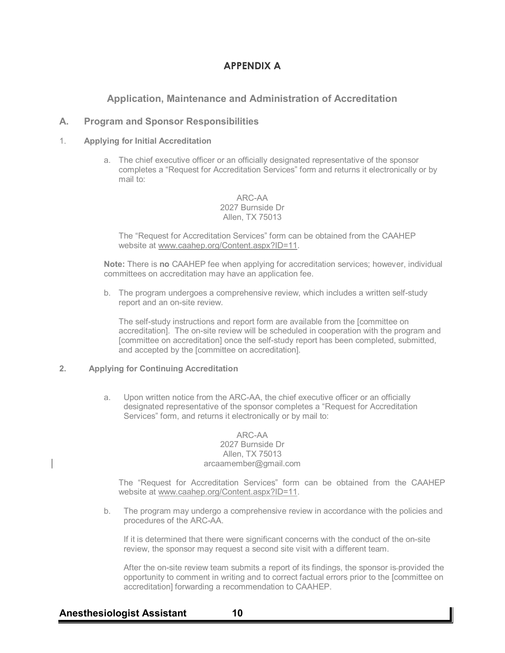# **APPENDIX A**

# **Application, Maintenance and Administration of Accreditation**

### **A. Program and Sponsor Responsibilities**

### 1. **Applying for Initial Accreditation**

a. The chief executive officer or an officially designated representative of the sponsor completes a "Request for Accreditation Services" form and returns it electronically or by mail to:

> ARC-AA 2027 Burnside Dr Allen, TX 75013

The "Request for Accreditation Services" form can be obtained from the CAAHEP website at www.caahep.org/Content.aspx?ID=11.

**Note:** There is **no** CAAHEP fee when applying for accreditation services; however, individual committees on accreditation may have an application fee.

b. The program undergoes a comprehensive review, which includes a written self-study report and an on-site review.

 The self-study instructions and report form are available from the [committee on accreditation]. The on-site review will be scheduled in cooperation with the program and [committee on accreditation] once the self-study report has been completed, submitted, and accepted by the [committee on accreditation].

### **2. Applying for Continuing Accreditation**

a. Upon written notice from the ARC-AA, the chief executive officer or an officially designated representative of the sponsor completes a "Request for Accreditation Services" form, and returns it electronically or by mail to:

### ARC-AA 2027 Burnside Dr Allen, TX 75013 arcaamember@gmail.com

The "Request for Accreditation Services" form can be obtained from the CAAHEP website at www.caahep.org/Content.aspx?ID=11.

b. The program may undergo a comprehensive review in accordance with the policies and procedures of the ARC-AA.

If it is determined that there were significant concerns with the conduct of the on-site review, the sponsor may request a second site visit with a different team.

After the on-site review team submits a report of its findings, the sponsor is provided the opportunity to comment in writing and to correct factual errors prior to the [committee on accreditation] forwarding a recommendation to CAAHEP.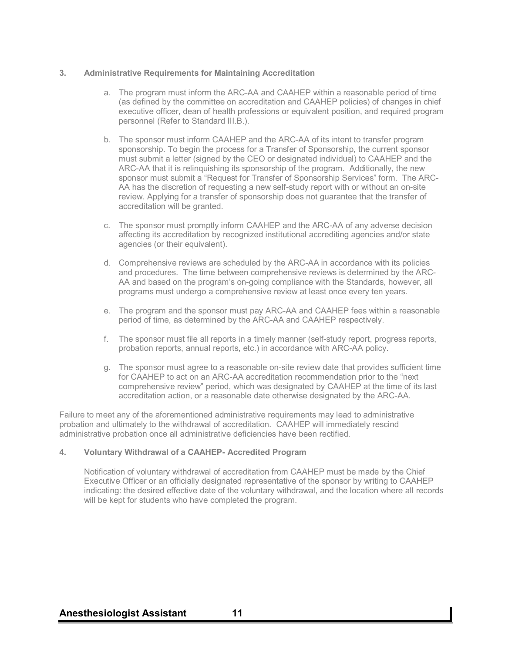### **3. Administrative Requirements for Maintaining Accreditation**

- a. The program must inform the ARC-AA and CAAHEP within a reasonable period of time (as defined by the committee on accreditation and CAAHEP policies) of changes in chief executive officer, dean of health professions or equivalent position, and required program personnel (Refer to Standard III.B.).
- b. The sponsor must inform CAAHEP and the ARC-AA of its intent to transfer program sponsorship. To begin the process for a Transfer of Sponsorship, the current sponsor must submit a letter (signed by the CEO or designated individual) to CAAHEP and the ARC-AA that it is relinquishing its sponsorship of the program. Additionally, the new sponsor must submit a "Request for Transfer of Sponsorship Services" form. The ARC-AA has the discretion of requesting a new self-study report with or without an on-site review. Applying for a transfer of sponsorship does not guarantee that the transfer of accreditation will be granted.
- c. The sponsor must promptly inform CAAHEP and the ARC-AA of any adverse decision affecting its accreditation by recognized institutional accrediting agencies and/or state agencies (or their equivalent).
- d. Comprehensive reviews are scheduled by the ARC-AA in accordance with its policies and procedures. The time between comprehensive reviews is determined by the ARC-AA and based on the program's on-going compliance with the Standards, however, all programs must undergo a comprehensive review at least once every ten years.
- e. The program and the sponsor must pay ARC-AA and CAAHEP fees within a reasonable period of time, as determined by the ARC-AA and CAAHEP respectively.
- f. The sponsor must file all reports in a timely manner (self-study report, progress reports, probation reports, annual reports, etc.) in accordance with ARC-AA policy.
- g. The sponsor must agree to a reasonable on-site review date that provides sufficient time for CAAHEP to act on an ARC-AA accreditation recommendation prior to the "next comprehensive review" period, which was designated by CAAHEP at the time of its last accreditation action, or a reasonable date otherwise designated by the ARC-AA.

Failure to meet any of the aforementioned administrative requirements may lead to administrative probation and ultimately to the withdrawal of accreditation. CAAHEP will immediately rescind administrative probation once all administrative deficiencies have been rectified.

### **4. Voluntary Withdrawal of a CAAHEP- Accredited Program**

Notification of voluntary withdrawal of accreditation from CAAHEP must be made by the Chief Executive Officer or an officially designated representative of the sponsor by writing to CAAHEP indicating: the desired effective date of the voluntary withdrawal, and the location where all records will be kept for students who have completed the program.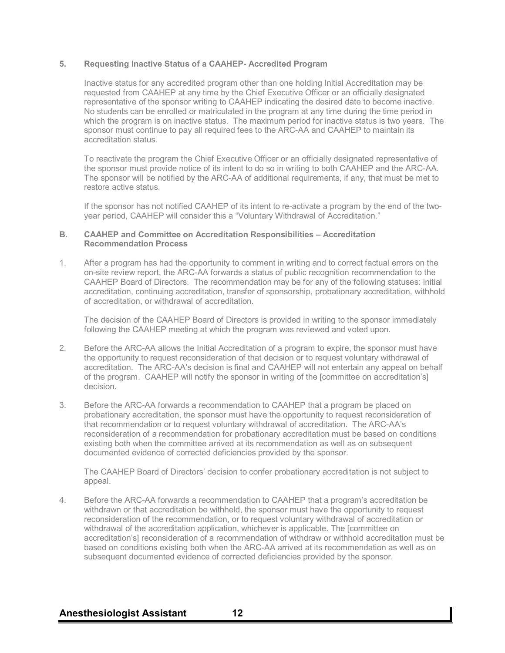### **5. Requesting Inactive Status of a CAAHEP- Accredited Program**

Inactive status for any accredited program other than one holding Initial Accreditation may be requested from CAAHEP at any time by the Chief Executive Officer or an officially designated representative of the sponsor writing to CAAHEP indicating the desired date to become inactive. No students can be enrolled or matriculated in the program at any time during the time period in which the program is on inactive status. The maximum period for inactive status is two years. The sponsor must continue to pay all required fees to the ARC-AA and CAAHEP to maintain its accreditation status.

To reactivate the program the Chief Executive Officer or an officially designated representative of the sponsor must provide notice of its intent to do so in writing to both CAAHEP and the ARC-AA. The sponsor will be notified by the ARC-AA of additional requirements, if any, that must be met to restore active status.

If the sponsor has not notified CAAHEP of its intent to re-activate a program by the end of the twoyear period, CAAHEP will consider this a "Voluntary Withdrawal of Accreditation."

#### **B. CAAHEP and Committee on Accreditation Responsibilities – Accreditation Recommendation Process**

1. After a program has had the opportunity to comment in writing and to correct factual errors on the on-site review report, the ARC-AA forwards a status of public recognition recommendation to the CAAHEP Board of Directors. The recommendation may be for any of the following statuses: initial accreditation, continuing accreditation, transfer of sponsorship, probationary accreditation, withhold of accreditation, or withdrawal of accreditation.

The decision of the CAAHEP Board of Directors is provided in writing to the sponsor immediately following the CAAHEP meeting at which the program was reviewed and voted upon.

- 2. Before the ARC-AA allows the Initial Accreditation of a program to expire, the sponsor must have the opportunity to request reconsideration of that decision or to request voluntary withdrawal of accreditation. The ARC-AA's decision is final and CAAHEP will not entertain any appeal on behalf of the program. CAAHEP will notify the sponsor in writing of the [committee on accreditation's] decision.
- 3. Before the ARC-AA forwards a recommendation to CAAHEP that a program be placed on probationary accreditation, the sponsor must have the opportunity to request reconsideration of that recommendation or to request voluntary withdrawal of accreditation. The ARC-AA's reconsideration of a recommendation for probationary accreditation must be based on conditions existing both when the committee arrived at its recommendation as well as on subsequent documented evidence of corrected deficiencies provided by the sponsor.

The CAAHEP Board of Directors' decision to confer probationary accreditation is not subject to appeal.

4. Before the ARC-AA forwards a recommendation to CAAHEP that a program's accreditation be withdrawn or that accreditation be withheld, the sponsor must have the opportunity to request reconsideration of the recommendation, or to request voluntary withdrawal of accreditation or withdrawal of the accreditation application, whichever is applicable. The [committee on accreditation's] reconsideration of a recommendation of withdraw or withhold accreditation must be based on conditions existing both when the ARC-AA arrived at its recommendation as well as on subsequent documented evidence of corrected deficiencies provided by the sponsor.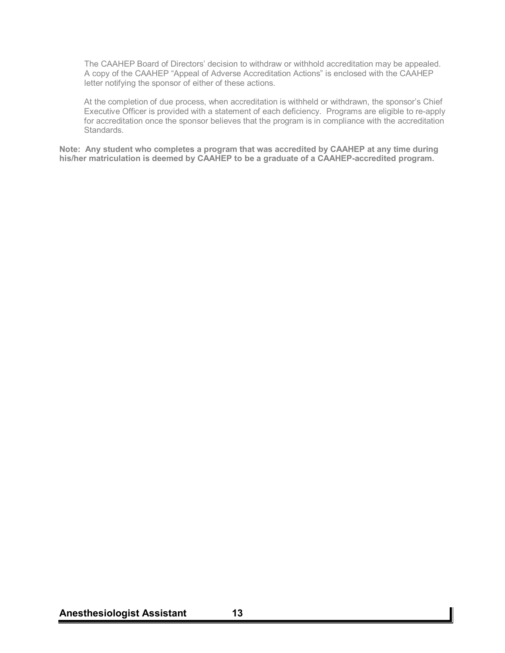The CAAHEP Board of Directors' decision to withdraw or withhold accreditation may be appealed. A copy of the CAAHEP "Appeal of Adverse Accreditation Actions" is enclosed with the CAAHEP letter notifying the sponsor of either of these actions.

At the completion of due process, when accreditation is withheld or withdrawn, the sponsor's Chief Executive Officer is provided with a statement of each deficiency. Programs are eligible to re-apply for accreditation once the sponsor believes that the program is in compliance with the accreditation Standards.

**Note: Any student who completes a program that was accredited by CAAHEP at any time during his/her matriculation is deemed by CAAHEP to be a graduate of a CAAHEP-accredited program.**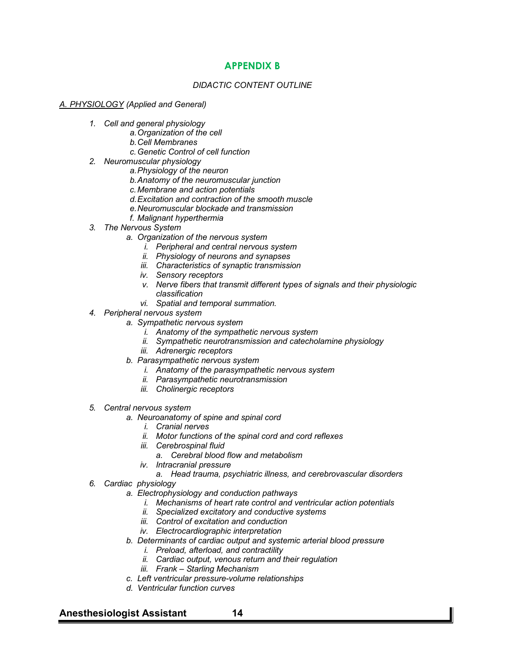# **APPENDIX B**

### *DIDACTIC CONTENT OUTLINE*

### *A. PHYSIOLOGY (Applied and General)*

- *1. Cell and general physiology* 
	- *a. Organization of the cell* 
		- *b. Cell Membranes*
	- *c. Genetic Control of cell function*
- *2. Neuromuscular physiology* 
	- *a. Physiology of the neuron*
	- *b. Anatomy of the neuromuscular junction*
	- *c. Membrane and action potentials*
	- *d. Excitation and contraction of the smooth muscle*
	- *e. Neuromuscular blockade and transmission*
	- *f. Malignant hyperthermia*
- *3. The Nervous System* 
	- *a. Organization of the nervous system* 
		- *i. Peripheral and central nervous system*
		- *ii. Physiology of neurons and synapses*
		- *iii. Characteristics of synaptic transmission*
		- *iv. Sensory receptors*
		- *v. Nerve fibers that transmit different types of signals and their physiologic classification*
		- *vi. Spatial and temporal summation.*
- *4. Peripheral nervous system* 
	- *a. Sympathetic nervous system* 
		- *i. Anatomy of the sympathetic nervous system*
		- *ii. Sympathetic neurotransmission and catecholamine physiology*
		- *iii. Adrenergic receptors*
	- *b. Parasympathetic nervous system* 
		- *i. Anatomy of the parasympathetic nervous system*
		- *ii. Parasympathetic neurotransmission*
		- *iii. Cholinergic receptors*
- *5. Central nervous system* 
	- *a. Neuroanatomy of spine and spinal cord* 
		- *i. Cranial nerves*
		- *ii. Motor functions of the spinal cord and cord reflexes*
		- *iii. Cerebrospinal fluid* 
			- *a. Cerebral blood flow and metabolism*
		- *iv. Intracranial pressure*
		- *a. Head trauma, psychiatric illness, and cerebrovascular disorders*
- *6. Cardiac physiology* 
	- *a. Electrophysiology and conduction pathways* 
		- *i. Mechanisms of heart rate control and ventricular action potentials*
		- *ii. Specialized excitatory and conductive systems*
		- *iii. Control of excitation and conduction*
		- *iv. Electrocardiographic interpretation*
	- *b. Determinants of cardiac output and systemic arterial blood pressure* 
		- *i. Preload, afterload, and contractility*
		- *ii. Cardiac output, venous return and their regulation*
		- *iii. Frank Starling Mechanism*
	- *c. Left ventricular pressure-volume relationships*
	- *d. Ventricular function curves*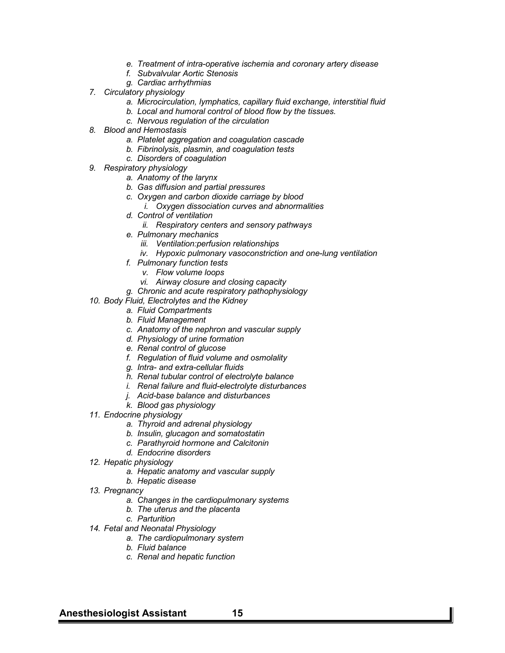- *e. Treatment of intra-operative ischemia and coronary artery disease*
- *f. Subvalvular Aortic Stenosis*
- *g. Cardiac arrhythmias*
- *7. Circulatory physiology* 
	- *a. Microcirculation, lymphatics, capillary fluid exchange, interstitial fluid*
	- *b. Local and humoral control of blood flow by the tissues.*
	- *c. Nervous regulation of the circulation*
- *8. Blood and Hemostasis* 
	- *a. Platelet aggregation and coagulation cascade*
	- *b. Fibrinolysis, plasmin, and coagulation tests*
	- *c. Disorders of coagulation*
- *9. Respiratory physiology* 
	- *a. Anatomy of the larynx*
	- *b. Gas diffusion and partial pressures*
	- *c. Oxygen and carbon dioxide carriage by blood* 
		- *i. Oxygen dissociation curves and abnormalities*
	- *d. Control of ventilation* 
		- *ii. Respiratory centers and sensory pathways*
	- *e. Pulmonary mechanics* 
		- *iii. Ventilation:perfusion relationships*
		- *iv. Hypoxic pulmonary vasoconstriction and one-lung ventilation*
	- *f. Pulmonary function tests* 
		- *v. Flow volume loops*
		- *vi. Airway closure and closing capacity*
	- *g. Chronic and acute respiratory pathophysiology*
- *10. Body Fluid, Electrolytes and the Kidney* 
	- *a. Fluid Compartments*
	- *b. Fluid Management*
	- *c. Anatomy of the nephron and vascular supply*
	- *d. Physiology of urine formation*
	- *e. Renal control of glucose*
	- *f. Regulation of fluid volume and osmolality*
	- *g. Intra- and extra-cellular fluids*
	- *h. Renal tubular control of electrolyte balance*
	- *i. Renal failure and fluid-electrolyte disturbances*
	- *j. Acid-base balance and disturbances*
	- *k. Blood gas physiology*
- *11. Endocrine physiology* 
	- *a. Thyroid and adrenal physiology*
	- *b. Insulin, glucagon and somatostatin*
	- *c. Parathyroid hormone and Calcitonin*
	- *d. Endocrine disorders*
- *12. Hepatic physiology* 
	- *a. Hepatic anatomy and vascular supply*
	- *b. Hepatic disease*
- *13. Pregnancy* 
	- *a. Changes in the cardiopulmonary systems*
	- *b. The uterus and the placenta*
	- *c. Parturition*
- *14. Fetal and Neonatal Physiology* 
	- *a. The cardiopulmonary system*
	- *b. Fluid balance*
	- *c. Renal and hepatic function*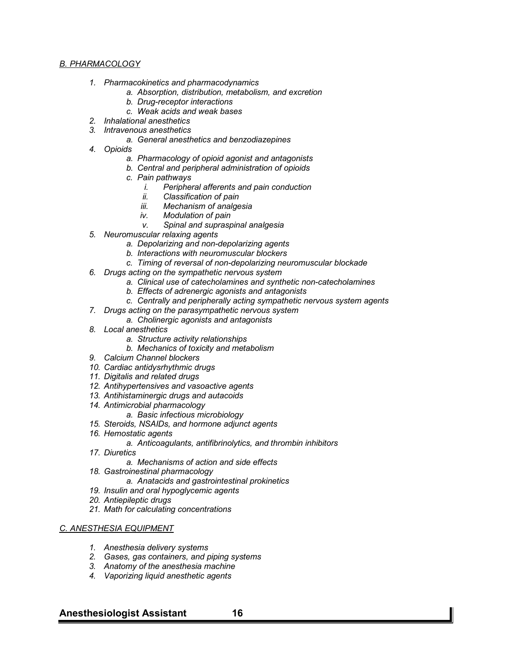#### *B. PHARMACOLOGY*

- *1. Pharmacokinetics and pharmacodynamics* 
	- *a. Absorption, distribution, metabolism, and excretion*
	- *b. Drug-receptor interactions*
	- *c. Weak acids and weak bases*
- *2. Inhalational anesthetics*
- *3. Intravenous anesthetics* 
	- *a. General anesthetics and benzodiazepines*
- *4. Opioids* 
	- *a. Pharmacology of opioid agonist and antagonists*
	- *b. Central and peripheral administration of opioids*
	- *c. Pain pathways* 
		- *i. Peripheral afferents and pain conduction*
		- *ii. Classification of pain*
		- *iii. Mechanism of analgesia*
		- *iv. Modulation of pain*
		- *v. Spinal and supraspinal analgesia*
- *5. Neuromuscular relaxing agents* 
	- *a. Depolarizing and non-depolarizing agents*
	- *b. Interactions with neuromuscular blockers*
	- *c. Timing of reversal of non-depolarizing neuromuscular blockade*
- *6. Drugs acting on the sympathetic nervous system* 
	- *a. Clinical use of catecholamines and synthetic non-catecholamines*
	- *b. Effects of adrenergic agonists and antagonists*
	- *c. Centrally and peripherally acting sympathetic nervous system agents*
- *7. Drugs acting on the parasympathetic nervous system* 
	- *a. Cholinergic agonists and antagonists*
- *8. Local anesthetics* 
	- *a. Structure activity relationships*
	- *b. Mechanics of toxicity and metabolism*
- *9. Calcium Channel blockers*
- *10. Cardiac antidysrhythmic drugs*
- *11. Digitalis and related drugs*
- *12. Antihypertensives and vasoactive agents*
- *13. Antihistaminergic drugs and autacoids*
- *14. Antimicrobial pharmacology* 
	- *a. Basic infectious microbiology*
- *15. Steroids, NSAIDs, and hormone adjunct agents*
- *16. Hemostatic agents* 
	- *a. Anticoagulants, antifibrinolytics, and thrombin inhibitors*
- *17. Diuretics* 
	- *a. Mechanisms of action and side effects*
- *18. Gastroinestinal pharmacology* 
	- *a. Anatacids and gastrointestinal prokinetics*
- *19. Insulin and oral hypoglycemic agents*
- *20. Antiepileptic drugs*
- *21. Math for calculating concentrations*

### *C. ANESTHESIA EQUIPMENT*

- *1. Anesthesia delivery systems*
- *2. Gases, gas containers, and piping systems*
- *3. Anatomy of the anesthesia machine*
- *4. Vaporizing liquid anesthetic agents*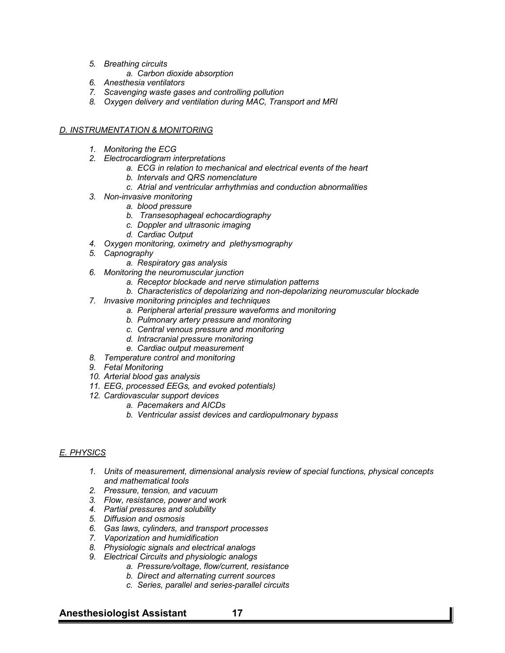- *5. Breathing circuits* 
	- *a. Carbon dioxide absorption*
- *6. Anesthesia ventilators*
- *7. Scavenging waste gases and controlling pollution*
- *8. Oxygen delivery and ventilation during MAC, Transport and MRI*

### *D. INSTRUMENTATION & MONITORING*

- *1. Monitoring the ECG*
- *2. Electrocardiogram interpretations* 
	- *a. ECG in relation to mechanical and electrical events of the heart*
	- *b. Intervals and QRS nomenclature*
	- *c. Atrial and ventricular arrhythmias and conduction abnormalities*
- *3. Non-invasive monitoring* 
	- *a. blood pressure*
	- *b. Transesophageal echocardiography*
	- *c. Doppler and ultrasonic imaging*
	- *d. Cardiac Output*
- *4. Oxygen monitoring, oximetry and plethysmography*
- *5. Capnography* 
	- *a. Respiratory gas analysis*
- *6. Monitoring the neuromuscular junction* 
	- *a. Receptor blockade and nerve stimulation patterns*
	- *b. Characteristics of depolarizing and non-depolarizing neuromuscular blockade*
- *7. Invasive monitoring principles and techniques* 
	- *a. Peripheral arterial pressure waveforms and monitoring*
	- *b. Pulmonary artery pressure and monitoring*
	- *c. Central venous pressure and monitoring*
	- *d. Intracranial pressure monitoring*
	- *e. Cardiac output measurement*
- *8. Temperature control and monitoring*
- *9. Fetal Monitoring*
- *10. Arterial blood gas analysis*
- *11. EEG, processed EEGs, and evoked potentials)*
- *12. Cardiovascular support devices* 
	- *a. Pacemakers and AICDs*
	- *b. Ventricular assist devices and cardiopulmonary bypass*

### *E. PHYSICS*

- *1. Units of measurement, dimensional analysis review of special functions, physical concepts and mathematical tools*
- *2. Pressure, tension, and vacuum*
- *3. Flow, resistance, power and work*
- *4. Partial pressures and solubility*
- *5. Diffusion and osmosis*
- *6. Gas laws, cylinders, and transport processes*
- *7. Vaporization and humidification*
- *8. Physiologic signals and electrical analogs*
- *9. Electrical Circuits and physiologic analogs* 
	- *a. Pressure/voltage, flow/current, resistance*
	- *b. Direct and alternating current sources*
	- *c. Series, parallel and series-parallel circuits*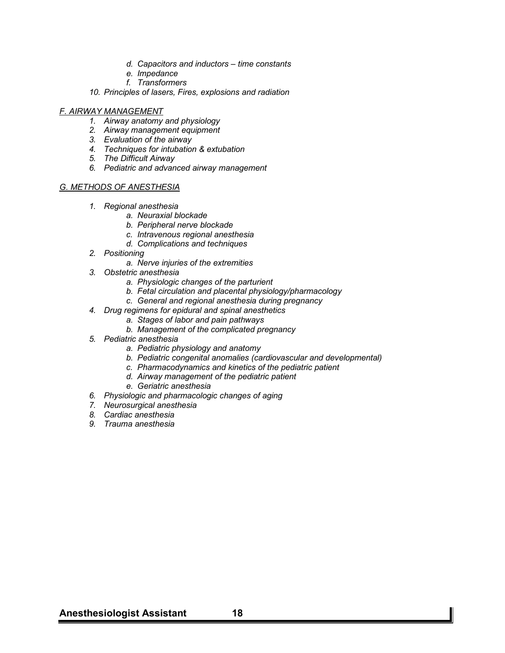- *d. Capacitors and inductors time constants*
- *e. Impedance*
- *f. Transformers*
- *10. Principles of lasers, Fires, explosions and radiation*

### *F. AIRWAY MANAGEMENT*

- *1. Airway anatomy and physiology*
- *2. Airway management equipment*
- *3. Evaluation of the airway*
- *4. Techniques for intubation & extubation*
- *5. The Difficult Airway*
- *6. Pediatric and advanced airway management*

### *G. METHODS OF ANESTHESIA*

- *1. Regional anesthesia* 
	- *a. Neuraxial blockade* 
		- *b. Peripheral nerve blockade*
		- *c. Intravenous regional anesthesia*
		- *d. Complications and techniques*
- *2. Positioning* 
	- *a. Nerve injuries of the extremities*
- *3. Obstetric anesthesia* 
	- *a. Physiologic changes of the parturient*
	- *b. Fetal circulation and placental physiology/pharmacology*
	- *c. General and regional anesthesia during pregnancy*
- *4. Drug regimens for epidural and spinal anesthetics* 
	- *a. Stages of labor and pain pathways*
	- *b. Management of the complicated pregnancy*
- *5. Pediatric anesthesia* 
	- *a. Pediatric physiology and anatomy*
	- *b. Pediatric congenital anomalies (cardiovascular and developmental)*
	- *c. Pharmacodynamics and kinetics of the pediatric patient*
	- *d. Airway management of the pediatric patient*
	- *e. Geriatric anesthesia*
- *6. Physiologic and pharmacologic changes of aging*
- *7. Neurosurgical anesthesia*
- *8. Cardiac anesthesia*
- *9. Trauma anesthesia*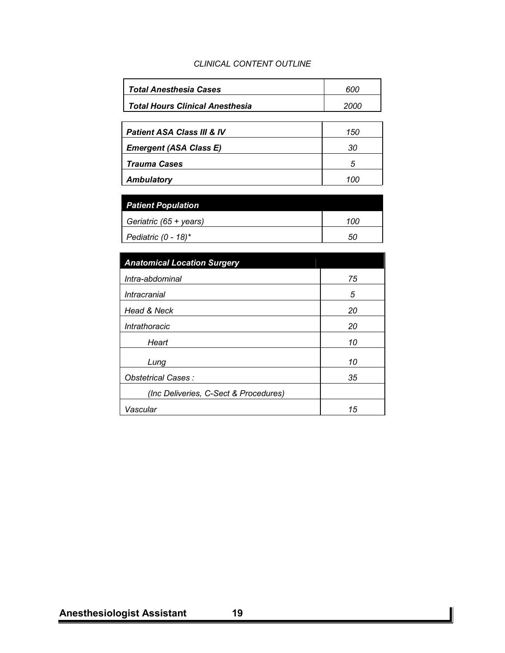### *CLINICAL CONTENT OUTLINE*

| Total Anesthesia Cases                | 600  |
|---------------------------------------|------|
| Total Hours Clinical Anesthesia       | 2000 |
|                                       |      |
| <b>Patient ASA Class III &amp; IV</b> | 150  |
| <b>Emergent (ASA Class E)</b>         | 30   |
| <b>Trauma Cases</b>                   | 5    |
| <b>Ambulatory</b>                     |      |

| <b>Patient Population</b>       |     |
|---------------------------------|-----|
| Geriatric $(65 + \text{years})$ | 100 |
| Pediatric $(0 - 18)^*$          | 50  |

| <b>Anatomical Location Surgery</b>    |    |
|---------------------------------------|----|
| Intra-abdominal                       | 75 |
| <i><b>Intracranial</b></i>            | 5  |
| Head & Neck                           | 20 |
| <i><b>Intrathoracic</b></i>           | 20 |
| Heart                                 | 10 |
| Lung                                  | 10 |
| <b>Obstetrical Cases:</b>             | 35 |
| (Inc Deliveries, C-Sect & Procedures) |    |
| Vascular                              | 15 |

Γ